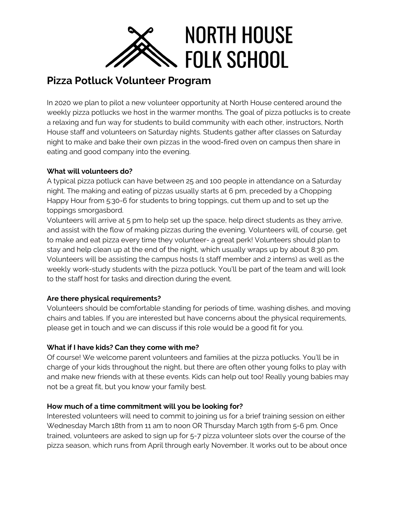

# **Pizza Potluck Volunteer Program**

In 2020 we plan to pilot a new volunteer opportunity at North House centered around the weekly pizza potlucks we host in the warmer months. The goal of pizza potlucks is to create a relaxing and fun way for students to build community with each other, instructors, North House staff and volunteers on Saturday nights. Students gather after classes on Saturday night to make and bake their own pizzas in the wood-fired oven on campus then share in eating and good company into the evening.

#### **What will volunteers do?**

A typical pizza potluck can have between 25 and 100 people in attendance on a Saturday night. The making and eating of pizzas usually starts at 6 pm, preceded by a Chopping Happy Hour from 5:30-6 for students to bring toppings, cut them up and to set up the toppings smorgasbord.

Volunteers will arrive at 5 pm to help set up the space, help direct students as they arrive, and assist with the flow of making pizzas during the evening. Volunteers will, of course, get to make and eat pizza every time they volunteer- a great perk! Volunteers should plan to stay and help clean up at the end of the night, which usually wraps up by about 8:30 pm. Volunteers will be assisting the campus hosts (1 staff member and 2 interns) as well as the weekly work-study students with the pizza potluck. You'll be part of the team and will look to the staff host for tasks and direction during the event.

## **Are there physical requirements?**

Volunteers should be comfortable standing for periods of time, washing dishes, and moving chairs and tables. If you are interested but have concerns about the physical requirements, please get in touch and we can discuss if this role would be a good fit for you.

## **What if I have kids? Can they come with me?**

Of course! We welcome parent volunteers and families at the pizza potlucks. You'll be in charge of your kids throughout the night, but there are often other young folks to play with and make new friends with at these events. Kids can help out too! Really young babies may not be a great fit, but you know your family best.

## **How much of a time commitment will you be looking for?**

Interested volunteers will need to commit to joining us for a brief training session on either Wednesday March 18th from 11 am to noon OR Thursday March 19th from 5-6 pm. Once trained, volunteers are asked to sign up for 5-7 pizza volunteer slots over the course of the pizza season, which runs from April through early November. It works out to be about once